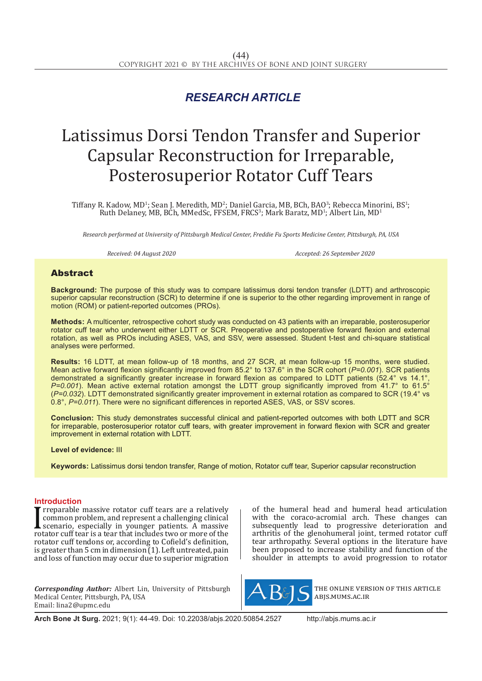## *RESEARCH ARTICLE*

# Latissimus Dorsi Tendon Transfer and Superior Capsular Reconstruction for Irreparable, Posterosuperior Rotator Cuff Tears

Tiffany R. Kadow, MD<sup>1</sup>; Sean J. Meredith, MD<sup>2</sup>; Daniel Garcia, MB, BCh, BAO<sup>3</sup>; Rebecca Minorini, BS<sup>1</sup>; The Santa Control of the Santa Control of the Santa Control of the Santa Control of the Santa Control of the Santa Ruth Delaney, MB, BCh, MMedSc, FFSEM, FRCS<sup>3</sup>; Mark Baratz, MD<sup>1</sup>; Albert Lin, MD<sup>1</sup>

*Research performed at University of Pittsburgh Medical Center, Freddie Fu Sports Medicine Center, Pittsburgh, PA, USA*

*Received: 04 August 2020 Accepted: 26 September 2020*

### Abstract

**Background:** The purpose of this study was to compare latissimus dorsi tendon transfer (LDTT) and arthroscopic superior capsular reconstruction (SCR) to determine if one is superior to the other regarding improvement in range of motion (ROM) or patient-reported outcomes (PROs).

**Methods:** A multicenter, retrospective cohort study was conducted on 43 patients with an irreparable, posterosuperior rotator cuff tear who underwent either LDTT or SCR. Preoperative and postoperative forward flexion and external rotation, as well as PROs including ASES, VAS, and SSV, were assessed. Student t-test and chi-square statistical analyses were performed.

**Results:** 16 LDTT, at mean follow-up of 18 months, and 27 SCR, at mean follow-up 15 months, were studied. Mean active forward flexion significantly improved from 85.2° to 137.6° in the SCR cohort (*P=0.001*). SCR patients demonstrated a significantly greater increase in forward flexion as compared to LDTT patients (52.4° vs 14.1°, *P=0.001*). Mean active external rotation amongst the LDTT group significantly improved from 41.7° to 61.5° (*P=0.032*). LDTT demonstrated significantly greater improvement in external rotation as compared to SCR (19.4° vs 0.8°, *P=0.011*). There were no significant differences in reported ASES, VAS, or SSV scores.

**Conclusion:** This study demonstrates successful clinical and patient-reported outcomes with both LDTT and SCR for irreparable, posterosuperior rotator cuff tears, with greater improvement in forward flexion with SCR and greater improvement in external rotation with LDTT.

**Level of evidence:** III

**Keywords:** Latissimus dorsi tendon transfer, Range of motion, Rotator cuff tear, Superior capsular reconstruction

#### **Introduction**

I reparable massive rotator cuff tears are a relatively<br>common problem, and represent a challenging clinical<br>scenario, especially in younger patients. A massive<br>rotator cuff tear is a tear that includes two or more of the<br> rreparable massive rotator cuff tears are a relatively common problem, and represent a challenging clinical scenario, especially in younger patients. A massive rotator cuff tendons or, according to Cofield's definition, is greater than 5 cm in dimension  $(1)$ . Left untreated, pain and loss of function may occur due to superior migration

*Corresponding Author:* Albert Lin, University of Pittsburgh Medical Center, Pittsburgh, PA, USA Email: lina2@upmc.edu

of the humeral head and humeral head articulation with the coraco-acromial arch. These changes can subsequently lead to progressive deterioration and arthritis of the glenohumeral joint, termed rotator cuff tear arthropathy. Several options in the literature have been proposed to increase stability and function of the shoulder in attempts to avoid progression to rotator



the online version of this article abjs.mums.ac.ir

**Arch Bone Jt Surg.** 2021; 9(1): 44-49. Doi: 10.22038/abjs.2020.50854.2527 http://abjs.mums.ac.ir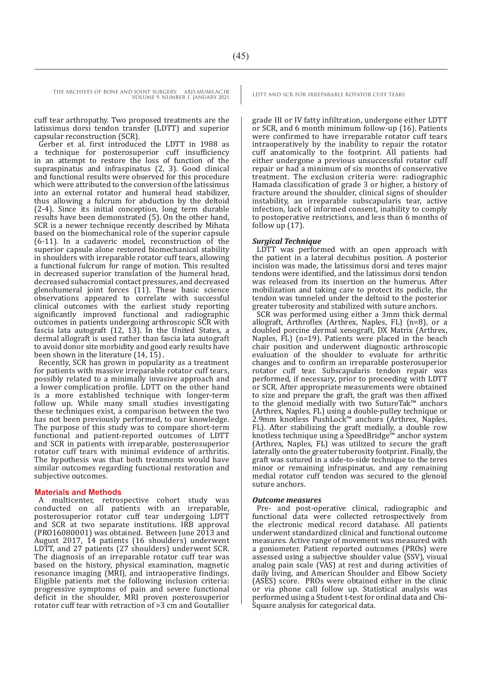cuff tear arthropathy. Two proposed treatments are the latissimus dorsi tendon transfer (LDTT) and superior capsular reconstruction (SCR).

Gerber et al. first introduced the LDTT in 1988 as a technique for posterosuperior cuff insufficiency in an attempt to restore the loss of function of the supraspinatus and infraspinatus (2, 3). Good clinical and functional results were observed for this procedure which were attributed to the conversion of the latissimus into an external rotator and humeral head stabilizer, thus allowing a fulcrum for abduction by the deltoid (2-4). Since its initial conception, long term durable results have been demonstrated (5). On the other hand, SCR is a newer technique recently described by Mihata based on the biomechanical role of the superior capsule (6-11). In a cadaveric model, reconstruction of the superior capsule alone restored biomechanical stability in shoulders with irreparable rotator cuff tears, allowing a functional fulcrum for range of motion. This resulted in decreased superior translation of the humeral head, decreased subacromial contact pressures, and decreased glenohumeral joint forces  $(1\bar{1})$ . These basic science observations appeared to correlate with successful clinical outcomes with the earliest study reporting significantly improved functional and radiographic outcomes in patients undergoing arthroscopic SCR with fascia lata autograft (12, 13). In the United States, a dermal allograft is used rather than fascia lata autograft to avoid donor site morbidity and good early results have been shown in the literature (14, 15) .

Recently, SCR has grown in popularity as a treatment for patients with massive irreparable rotator cuff tears, possibly related to a minimally invasive approach and a lower complication profile. LDTT on the other hand is a more established technique with longer-term follow up. While many small studies investigating these techniques exist, a comparison between the two has not been previously performed, to our knowledge. The purpose of this study was to compare short-term functional and patient-reported outcomes of LDTT and SCR in patients with irreparable, posterosuperior rotator cuff tears with minimal evidence of arthritis. The hypothesis was that both treatments would have similar outcomes regarding functional restoration and subjective outcomes.

#### **Materials and Methods**

A multicenter, retrospective cohort study was conducted on all patients with an irreparable, posterosuperior rotator cuff tear undergoing LDTT and SCR at two separate institutions. IRB approval (PRO16080001) was obtained. Between June 2013 and August 2017, 14 patients (16 shoulders) underwent LDTT, and 27 patients (27 shoulders) underwent SCR. The diagnosis of an irreparable rotator cuff tear was based on the history, physical examination, magnetic resonance imaging (MRI), and intraoperative findings. Eligible patients met the following inclusion criteria: progressive symptoms of pain and severe functional deficit in the shoulder, MRI proven posterosuperior rotator cuff tear with retraction of >3 cm and Goutallier

grade III or IV fatty infiltration, undergone either LDTT or SCR, and 6 month minimum follow-up (16). Patients were confirmed to have irreparable rotator cuff tears intraoperatively by the inability to repair the rotator cuff anatomically to the footprint. All patients had either undergone a previous unsuccessful rotator cuff repair or had a minimum of six months of conservative treatment. The exclusion criteria were: radiographic Hamada classification of grade 3 or higher, a history of fracture around the shoulder, clinical signs of shoulder instability, an irreparable subscapularis tear, active infection, lack of informed consent, inability to comply to postoperative restrictions, and less than 6 months of follow up (17).

#### *Surgical Technique*

LDTT was performed with an open approach with the patient in a lateral decubitus position. A posterior incision was made, the latissimus dorsi and teres major tendons were identified, and the latissimus dorsi tendon was released from its insertion on the humerus. After mobilization and taking care to protect its pedicle, the tendon was tunneled under the deltoid to the posterior greater tuberosity and stabilized with suture anchors.

SCR was performed using either a 3mm thick dermal allograft, Arthroflex (Arthrex, Naples, FL) (n=8), or a doubled porcine dermal xenograft, DX Matrix (Arthrex, Naples, FL) (n=19). Patients were placed in the beach chair position and underwent diagnostic arthroscopic evaluation of the shoulder to evaluate for arthritic changes and to confirm an irreparable posterosuperior rotator cuff tear. Subscapularis tendon repair was performed, if necessary, prior to proceeding with LDTT or SCR. After appropriate measurements were obtained to size and prepare the graft, the graft was then affixed to the glenoid medially with two SutureTak™ anchors (Arthrex, Naples, FL) using a double-pulley technique or 2.9mm knotless PushLock™ anchors (Arthrex, Naples, FL). After stabilizing the graft medially, a double row knotless technique using a SpeedBridge™ anchor system (Arthrex, Naples, FL) was utilized to secure the graft laterally onto the greater tuberosity footprint. Finally, the graft was sutured in a side-to-side technique to the teres minor or remaining infraspinatus, and any remaining medial rotator cuff tendon was secured to the glenoid suture anchors.

#### *Outcome measures*

Pre- and post-operative clinical, radiographic and functional data were collected retrospectively from the electronic medical record database. All patients underwent standardized clinical and functional outcome measures. Active range of movement was measured with a goniometer. Patient reported outcomes (PROs) were assessed using a subjective shoulder value (SSV), visual analog pain scale (VAS) at rest and during activities of daily living, and American Shoulder and Elbow Society (ASES) score. PROs were obtained either in the clinic or via phone call follow up. Statistical analysis was performed using a Student t-test for ordinal data and Chi-Square analysis for categorical data.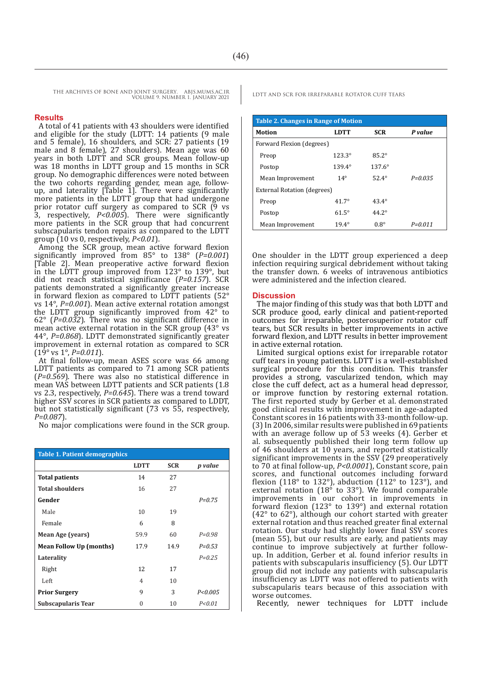#### **Results**

A total of 41 patients with 43 shoulders were identified and eligible for the study (LDTT: 14 patients (9 male and 5 female), 16 shoulders, and SCR: 27 patients (19 male and 8 female), 27 shoulders). Mean age was 60 years in both LDTT and SCR groups. Mean follow-up was 18 months in LDTT group and 15 months in SCR group. No demographic differences were noted between the two cohorts regarding gender, mean age, followup, and laterality [Table 1]. There were significantly more patients in the LDTT group that had undergone prior rotator cuff surgery as compared to SCR (9 vs 3, respectively, *P<0.005*). There were significantly more patients in the SCR group that had concurrent subscapularis tendon repairs as compared to the LDTT group (10 vs 0, respectively, *P<0.01*).

Among the SCR group, mean active forward flexion significantly improved from 85° to 138° (*P=0.001*) [Table 2]. Mean preoperative active forward flexion in the LDTT group improved from  $123^\circ$  to  $139^\circ$ , but did not reach statistical significance (*P=0.157*). SCR patients demonstrated a significantly greater increase in forward flexion as compared to LDTT patients  $(52^{\circ}$ vs 14°, *P=0.001*). Mean active external rotation amongst the LDTT group significantly improved from 42° to 62° (*P=0.032*). There was no significant difference in mean active external rotation in the SCR group (43° vs 44°, *P=0.868*). LDTT demonstrated significantly greater improvement in external rotation as compared to SCR (19° vs 1°, *P=0.011*).

At final follow-up, mean ASES score was 66 among LDTT patients as compared to 71 among SCR patients  $(P=0.569)$ . There was also no statistical difference in mean VAS between LDTT patients and SCR patients (1.8 vs 2.3, respectively, *P=0.645*). There was a trend toward higher SSV scores in SCR patients as compared to LDDT, but not statistically significant (73 vs 55, respectively, *P=0.087*).

No major complications were found in the SCR group.

| <b>Table 1. Patient demographics</b> |                 |            |                |  |
|--------------------------------------|-----------------|------------|----------------|--|
|                                      | <b>LDTT</b>     | <b>SCR</b> | <i>p</i> value |  |
| <b>Total patients</b>                | 14              | 27         |                |  |
| <b>Total shoulders</b>               | 16              | 27         |                |  |
| Gender                               |                 |            | $P = 0.75$     |  |
| Male                                 | 10 <sup>1</sup> | 19         |                |  |
| Female                               | 6               | 8          |                |  |
| Mean Age (years)                     | 59.9            | 60         | $P = 0.98$     |  |
| <b>Mean Follow Up (months)</b>       | 17.9            | 14.9       | $P = 0.53$     |  |
| Laterality                           |                 |            | $P = 0.25$     |  |
| Right                                | 12              | 17         |                |  |
| Left                                 | 4               | 10         |                |  |
| <b>Prior Surgery</b>                 | 9               | 3          | P < 0.005      |  |
| <b>Subscapularis Tear</b>            | O               | 10         | P < 0.01       |  |

| <b>Table 2. Changes in Range of Motion</b> |                 |                 |             |  |  |
|--------------------------------------------|-----------------|-----------------|-------------|--|--|
| Motion                                     | <b>LDTT</b>     | <b>SCR</b>      | P value     |  |  |
| Forward Flexion (degrees)                  |                 |                 |             |  |  |
| Preop                                      | $123.3^{\circ}$ | $85.2^\circ$    |             |  |  |
| Postop                                     | $139.4^{\circ}$ | $137.6^{\circ}$ |             |  |  |
| Mean Improvement                           | $14^\circ$      | $52.4^{\circ}$  | $P = 0.035$ |  |  |
| External Rotation (degrees)                |                 |                 |             |  |  |
| Preop                                      | $41.7^{\circ}$  | $43.4^{\circ}$  |             |  |  |
| Postop                                     | $61.5^\circ$    | $44.2^{\circ}$  |             |  |  |
| Mean Improvement                           | $19.4^{\circ}$  | $0.8^\circ$     | $P = 0.011$ |  |  |

One shoulder in the LDTT group experienced a deep infection requiring surgical debridement without taking the transfer down. 6 weeks of intravenous antibiotics were administered and the infection cleared.

#### **Discussion**

The major finding of this study was that both LDTT and SCR produce good, early clinical and patient-reported outcomes for irreparable, posterosuperior rotator cuff tears, but SCR results in better improvements in active forward flexion, and LDTT results in better improvement in active external rotation.

Limited surgical options exist for irreparable rotator cuff tears in young patients. LDTT is a well-established surgical procedure for this condition. This transfer provides a strong, vascularized tendon, which may close the cuff defect, act as a humeral head depressor, or improve function by restoring external rotation. The first reported study by Gerber et al. demonstrated good clinical results with improvement in age-adapted Constant scores in 16 patients with 33-month follow-up. (3) In 2006, similar results were published in 69 patients with an average follow up of 53 weeks (4). Gerber et al. subsequently published their long term follow up of 46 shoulders at 10 years, and reported statistically significant improvements in the SSV (29 preoperatively to 70 at final follow-up, *P<0.0001*), Constant score, pain scores, and functional outcomes including forward flexion (118 $\degree$  to 132 $\degree$ ), abduction (112 $\degree$  to 123 $\degree$ ), and external rotation (18° to 33°). We found comparable improvements in our cohort in improvements in forward flexion (123° to 139°) and external rotation (42° to 62°), although our cohort started with greater external rotation and thus reached greater final external rotation. Our study had slightly lower final SSV scores (mean 55), but our results are early, and patients may continue to improve subjectively at further followup. In addition, Gerber et al. found inferior results in patients with subscapularis insufficiency (5). Our LDTT group did not include any patients with subscapularis insufficiency as LDTT was not offered to patients with subscapularis tears because of this association with worse outcomes.

Recently, newer techniques for LDTT include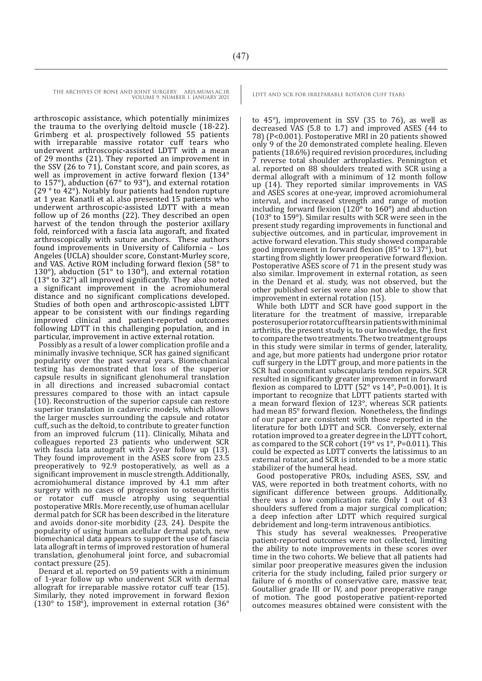arthroscopic assistance, which potentially minimizes the trauma to the overlying deltoid muscle (18-22). Grimberg et al. prospectively followed 55 patients with irreparable massive rotator cuff tears who underwent arthroscopic-assisted LDTT with a mean of 29 months (21). They reported an improvement in the SSV (26 to 71), Constant score, and pain scores, as well as improvement in active forward flexion (134° to 157°), abduction (67° to 93°), and external rotation (29 ° to 42°). Notably four patients had tendon rupture at 1 year. Kanatli et al. also presented 15 patients who underwent arthroscopic-assisted LDTT with a mean follow up of 26 months (22). They described an open harvest of the tendon through the posterior axillary fold, reinforced with a fascia lata augoraft, and fixated arthroscopically with suture anchors. These authors found improvements in University of California – Los Angeles (UCLA) shoulder score, Constant-Murley score, and VAS. Active ROM including forward flexion (58° to 130°), abduction (51° to 130°), and external rotation (13° to 32°) all improved significantly. They also noted a significant improvement in the acromiohumeral distance and no significant complications developed. Studies of both open and arthroscopic-assisted LDTT appear to be consistent with our findings regarding improved clinical and patient-reported outcomes following LDTT in this challenging population, and in particular, improvement in active external rotation.

Possibly as a result of a lower complication profile and a minimally invasive technique, SCR has gained significant popularity over the past several years. Biomechanical testing has demonstrated that loss of the superior capsule results in significant glenohumeral translation in all directions and increased subacromial contact pressures compared to those with an intact capsule (10). Reconstruction of the superior capsule can restore superior translation in cadaveric models, which allows the larger muscles surrounding the capsule and rotator cuff, such as the deltoid, to contribute to greater function from an improved fulcrum (11). Clinically, Mihata and colleagues reported 23 patients who underwent SCR with fascia lata autograft with 2-year follow up (13). They found improvement in the ASES score from 23.5 preoperatively to 92.9 postoperatively, as well as a significant improvement in muscle strength. Additionally, acromiohumeral distance improved by 4.1 mm after surgery with no cases of progression to osteoarthritis or rotator cuff muscle atrophy using sequential postoperative MRIs. More recently, use of human acellular dermal patch for SCR has been described in the literature and avoids donor-site morbidity (23, 24). Despite the popularity of using human acellular dermal patch, new biomechanical data appears to support the use of fascia lata allograft in terms of improved restoration of humeral translation, glenohumeral joint force, and subacromial contact pressure (25).

Denard et al. reported on 59 patients with a minimum of 1-year follow up who underwent SCR with dermal allograft for irreparable massive rotator cuff tear (15). Similarly, they noted improvement in forward flexion (130 $\degree$  to 158 $\degree$ ), improvement in external rotation (36 $\degree$ 

to 45°), improvement in SSV (35 to 76), as well as decreased VAS (5.8 to 1.7) and improved ASES (44 to 78) (P<0.001). Postoperative MRI in 20 patients showed only 9 of the 20 demonstrated complete healing. Eleven patients (18.6%) required revision procedures, including 7 reverse total shoulder arthroplasties. Pennington et al. reported on 88 shoulders treated with SCR using a dermal allograft with a minimum of 12 month follow up (14). They reported similar improvements in VAS and ASES scores at one-year, improved acromiohumeral interval, and increased strength and range of motion including forward flexion ( $120^\circ$  to  $160^\circ$ ) and abduction (103° to 159°). Similar results with SCR were seen in the present study regarding improvements in functional and subjective outcomes, and in particular, improvement in active forward elevation. This study showed comparable good improvement in forward flexion (85° to 137°), but starting from slightly lower preoperative forward flexion. Postoperative ASES score of 71 in the present study was also similar. Improvement in external rotation, as seen in the Denard et al. study, was not observed, but the other published series were also not able to show that improvement in external rotation (15).

While both LDTT and SCR have good support in the literature for the treatment of massive, irreparable posterosuperior rotator cuff tears in patients with minimal arthritis, the present study is, to our knowledge, the first to compare the two treatments. The two treatment groups in this study were similar in terms of gender, laterality, and age, but more patients had undergone prior rotator cuff surgery in the LDTT group, and more patients in the SCR had concomitant subscapularis tendon repairs. SCR resulted in significantly greater improvement in forward flexion as compared to LDTT ( $52^\circ$  vs  $14^\circ$ , P=0.001). It is important to recognize that LDTT patients started with a mean forward flexion of 123°, whereas SCR patients had mean 85° forward flexion. Nonetheless, the findings of our paper are consistent with those reported in the literature for both LDTT and SCR. Conversely, external rotation improved to a greater degree in the LDTT cohort, as compared to the SCR cohort  $(19° \text{ vs } 1°, P=0.011)$ . This could be expected as LDTT converts the latissimus to an external rotator, and SCR is intended to be a more static stabilizer of the humeral head.

Good postoperative PROs, including ASES, SSV, and VAS, were reported in both treatment cohorts, with no significant difference between groups. Additionally, there was a low complication rate. Only 1 out of 43 shoulders suffered from a major surgical complication; a deep infection after LDTT which required surgical debridement and long-term intravenous antibiotics.

This study has several weaknesses. Preoperative patient-reported outcomes were not collected, limiting the ability to note improvements in these scores over time in the two cohorts. We believe that all patients had similar poor preoperative measures given the inclusion criteria for the study including, failed prior surgery or failure of 6 months of conservative care, massive tear, Goutallier grade III or IV, and poor preoperative range of motion. The good postoperative patient-reported outcomes measures obtained were consistent with the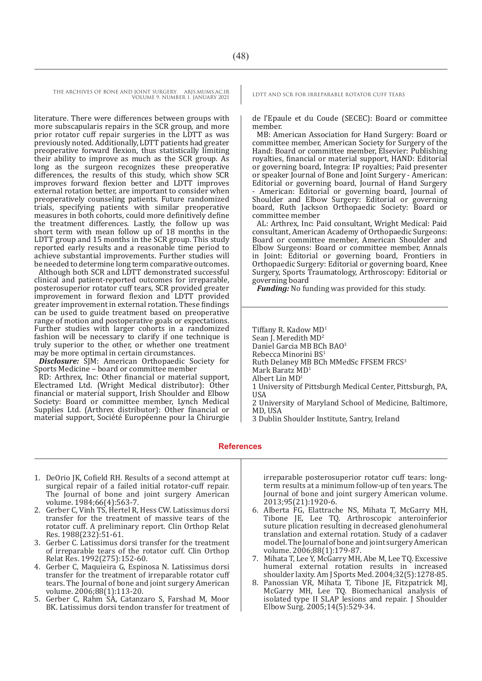literature. There were differences between groups with more subscapularis repairs in the SCR group, and more prior rotator cuff repair surgeries in the LDTT as was previously noted. Additionally, LDTT patients had greater preoperative forward flexion, thus statistically limiting their ability to improve as much as the SCR group. As long as the surgeon recognizes these preoperative differences, the results of this study, which show SCR improves forward flexion better and LDTT improves external rotation better, are important to consider when preoperatively counseling patients. Future randomized trials, specifying patients with similar preoperative measures in both cohorts, could more definitively define the treatment differences. Lastly, the follow up was short term with mean follow up of 18 months in the LDTT group and 15 months in the SCR group. This study reported early results and a reasonable time period to achieve substantial improvements. Further studies will be needed to determine long term comparative outcomes.

Although both SCR and LDTT demonstrated successful clinical and patient-reported outcomes for irreparable, posterosuperior rotator cuff tears, SCR provided greater improvement in forward flexion and LDTT provided greater improvement in external rotation. These findings can be used to guide treatment based on preoperative range of motion and postoperative goals or expectations. Further studies with larger cohorts in a randomized fashion will be necessary to clarify if one technique is truly superior to the other, or whether one treatment may be more optimal in certain circumstances.

*Disclosure:*  $\tilde{S}$ [M: American Orthopaedic Society for Sports Medicine – board or committee member

RD: Arthrex, Inc: Other financial or material support, Electramed Ltd. (Wright Medical distributor): Other financial or material support, Irish Shoulder and Elbow Society: Board or committee member, Lynch Medical Supplies Ltd. (Arthrex distributor): Other financial or material support, Société Européenne pour la Chirurgie

de l'Epaule et du Coude (SECEC): Board or committee member.

MB: American Association for Hand Surgery: Board or committee member, American Society for Surgery of the Hand: Board or committee member, Elsevier: Publishing royalties, financial or material support, HAND: Editorial or governing board, Integra: IP royalties; Paid presenter or speaker Journal of Bone and Joint Surgery - American: Editorial or governing board, Journal of Hand Surgery American: Editorial or governing board, Journal of Shoulder and Elbow Surgery: Editorial or governing board, Ruth Jackson Orthopaedic Society: Board or committee member

AL: Arthrex, Inc: Paid consultant, Wright Medical: Paid consultant, American Academy of Orthopaedic Surgeons: Board or committee member, American Shoulder and Elbow Surgeons: Board or committee member, Annals in Joint: Editorial or governing board, Frontiers in Orthopaedic Surgery: Editorial or governing board, Knee Surgery, Sports Traumatology, Arthroscopy: Editorial or governing board

*Funding:* No funding was provided for this study.

Tiffany R. Kadow MD<sup>1</sup> Sean J. Meredith MD<sup>2</sup> Daniel Garcia MB BCh BAO<sup>3</sup> Rebecca Minorini BS<sup>1</sup> Ruth Delaney MB BCh MMedSc FFSEM FRCS<sup>3</sup> Mark Baratz MD<sup>1</sup> Albert Lin MD<sup>1</sup> 1 University of Pittsburgh Medical Center, Pittsburgh, PA, USA 2 University of Maryland School of Medicine, Baltimore, MD, USA

3 Dublin Shoulder Institute, Santry, Ireland

**References**

- 1. DeOrio JK, Cofield RH. Results of a second attempt at surgical repair of a failed initial rotator-cuff repair. The Journal of bone and joint surgery American volume. 1984;66(4):563-7.
- 2. Gerber C, Vinh TS, Hertel R, Hess CW. Latissimus dorsi transfer for the treatment of massive tears of the rotator cuff. A preliminary report. Clin Orthop Relat Res. 1988(232):51-61.
- 3. Gerber C. Latissimus dorsi transfer for the treatment of irreparable tears of the rotator cuff. Clin Orthop Relat Res. 1992(275):152-60.
- 4. Gerber C, Maquieira G, Espinosa N. Latissimus dorsi transfer for the treatment of irreparable rotator cuff tears. The Journal of bone and joint surgery American volume. 2006;88(1):113-20.
- 5. Gerber C, Rahm SA, Catanzaro S, Farshad M, Moor BK. Latissimus dorsi tendon transfer for treatment of

irreparable posterosuperior rotator cuff tears: longterm results at a minimum follow-up of ten years. The Journal of bone and joint surgery American volume. 2013;95(21):1920-6.

- 6. Alberta FG, Elattrache NS, Mihata T, McGarry MH, Tibone JE, Lee TQ. Arthroscopic anteroinferior suture plication resulting in decreased glenohumeral translation and external rotation. Study of a cadaver model. The Journal of bone and joint surgery American volume. 2006;88(1):179-87.
- 7. Mihata T, Lee Y, McGarry MH, Abe M, Lee TQ. Excessive humeral external rotation results in increased shoulder laxity. Am J Sports Med. 2004;32(5):1278-85.
- 8. Panossian VR, Mihata T, Tibone JE, Fitzpatrick MJ, McGarry MH, Lee TQ. Biomechanical analysis of isolated type II SLAP lesions and repair. J Shoulder Elbow Surg. 2005;14(5):529-34.